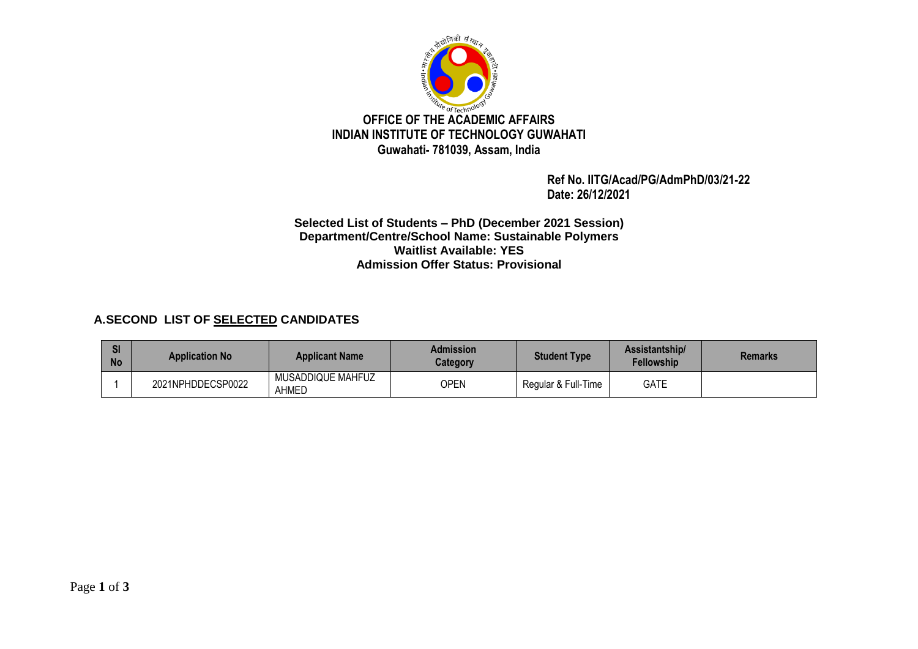

 **Ref No. IITG/Acad/PG/AdmPhD/03/21-22 Date: 26/12/2021**

**Selected List of Students – PhD (December 2021 Session) Department/Centre/School Name: Sustainable Polymers Waitlist Available: YES Admission Offer Status: Provisional** 

## **A.SECOND LIST OF SELECTED CANDIDATES**

| <b>SI</b><br><b>No</b> | <b>Application No</b> | <b>Applicant Name</b>      | Admission<br>Category | <b>Student Type</b> | Assistantship/<br><b>Fellowship</b> | <b>Remarks</b> |
|------------------------|-----------------------|----------------------------|-----------------------|---------------------|-------------------------------------|----------------|
|                        | 2021NPHDDECSP0022     | MUSADDIQUE MAHFUZ<br>AHMED | OPEN                  | Regular & Full-Time | <b>GATE</b>                         |                |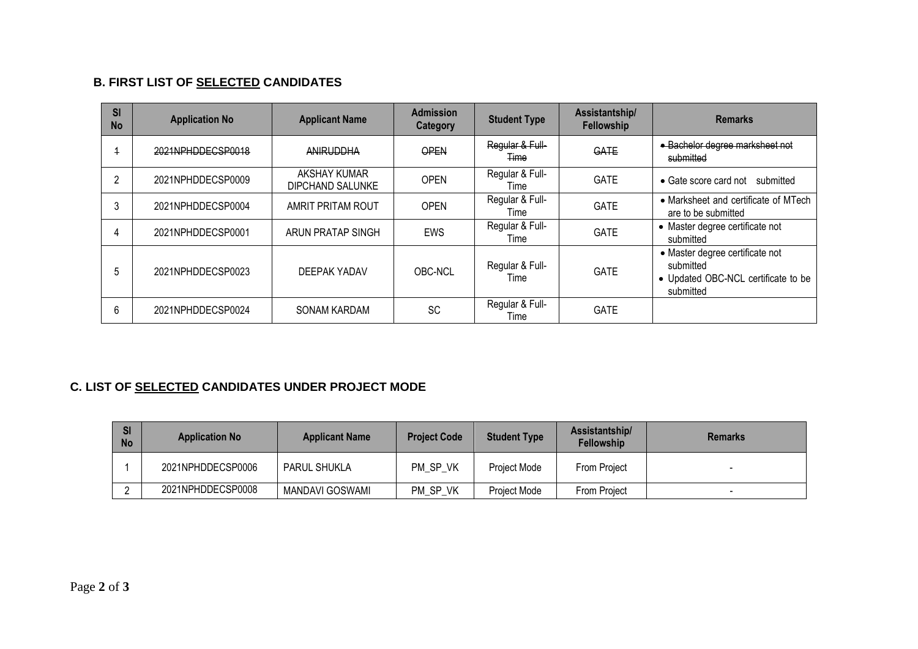## **B. FIRST LIST OF SELECTED CANDIDATES**

| SI<br><b>No</b> | <b>Application No</b> | <b>Applicant Name</b>                   | <b>Admission</b><br><b>Category</b> | <b>Student Type</b>            | Assistantship/<br>Fellowship | <b>Remarks</b>                                                                                   |
|-----------------|-----------------------|-----------------------------------------|-------------------------------------|--------------------------------|------------------------------|--------------------------------------------------------------------------------------------------|
|                 | 2021NPHDDECSP0018     | <b>ANIRUDDHA</b>                        | OPEN                                | Regular & Full-<br><b>Time</b> | GATE                         | · Bachelor degree marksheet not<br>submitted                                                     |
| 2               | 2021NPHDDECSP0009     | <b>AKSHAY KUMAR</b><br>DIPCHAND SALUNKE | <b>OPEN</b>                         | Regular & Full-<br>Time        | <b>GATE</b>                  | • Gate score card not submitted                                                                  |
| 3               | 2021NPHDDECSP0004     | AMRIT PRITAM ROUT                       | <b>OPEN</b>                         | Regular & Full-<br>Time        | <b>GATE</b>                  | • Marksheet and certificate of MTech<br>are to be submitted                                      |
|                 | 2021NPHDDECSP0001     | ARUN PRATAP SINGH                       | <b>EWS</b>                          | Regular & Full-<br>Time        | <b>GATE</b>                  | • Master degree certificate not<br>submitted                                                     |
| 5               | 2021NPHDDECSP0023     | DEEPAK YADAV                            | OBC-NCL                             | Regular & Full-<br>Time        | <b>GATE</b>                  | • Master degree certificate not<br>submitted<br>• Updated OBC-NCL certificate to be<br>submitted |
| 6               | 2021NPHDDECSP0024     | <b>SONAM KARDAM</b>                     | <b>SC</b>                           | Regular & Full-<br>Time        | <b>GATE</b>                  |                                                                                                  |

## **C. LIST OF SELECTED CANDIDATES UNDER PROJECT MODE**

| <b>SI</b><br><b>No</b> | <b>Application No</b> | <b>Applicant Name</b>  | <b>Project Code</b> | <b>Student Type</b> | Assistantship/<br><b>Fellowship</b> | <b>Remarks</b> |
|------------------------|-----------------------|------------------------|---------------------|---------------------|-------------------------------------|----------------|
|                        | 2021NPHDDECSP0006     | PARUL SHUKLA           | PM SP VK            | Project Mode        | From Project                        |                |
|                        | 2021NPHDDECSP0008     | <b>MANDAVI GOSWAMI</b> | PM SP VK            | Project Mode        | <b>From Project</b>                 |                |